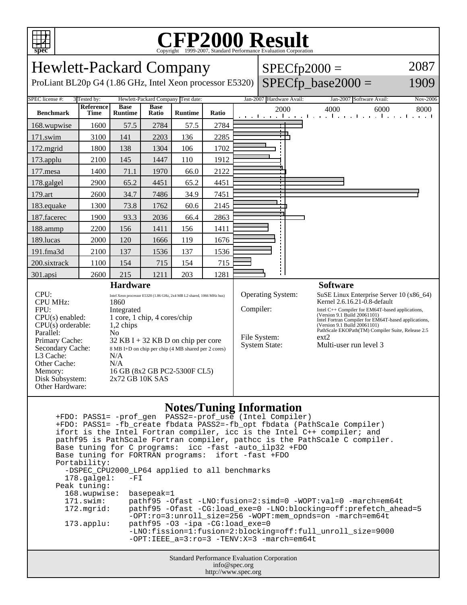

## **CFP2000 Result** Copyright ©1999-2007, Standard Performance Evaluation Corporation

| <b>Hewlett-Packard Company</b>                                                                                                                                                                                                                                                                                                                                                                                                                                                                                                                    |                          |                               |                      |                |       |                                                                                                                                                                          | $SPECfp2000 =$           |                                                                                                                                                                                                                                                                      |                                                                  | 2087     |
|---------------------------------------------------------------------------------------------------------------------------------------------------------------------------------------------------------------------------------------------------------------------------------------------------------------------------------------------------------------------------------------------------------------------------------------------------------------------------------------------------------------------------------------------------|--------------------------|-------------------------------|----------------------|----------------|-------|--------------------------------------------------------------------------------------------------------------------------------------------------------------------------|--------------------------|----------------------------------------------------------------------------------------------------------------------------------------------------------------------------------------------------------------------------------------------------------------------|------------------------------------------------------------------|----------|
| ProLiant BL20p G4 (1.86 GHz, Intel Xeon processor E5320)                                                                                                                                                                                                                                                                                                                                                                                                                                                                                          |                          |                               |                      |                |       |                                                                                                                                                                          |                          |                                                                                                                                                                                                                                                                      | $SPECfp\_base2000 =$                                             | 1909     |
| SPEC license #:<br>3 Tested by:<br>Hewlett-Packard Company Test date:                                                                                                                                                                                                                                                                                                                                                                                                                                                                             |                          |                               |                      |                |       |                                                                                                                                                                          | Jan-2007 Hardware Avail: |                                                                                                                                                                                                                                                                      | Jan-2007 Software Avail:                                         | Nov-2006 |
| <b>Benchmark</b>                                                                                                                                                                                                                                                                                                                                                                                                                                                                                                                                  | Reference<br><b>Time</b> | <b>Base</b><br><b>Runtime</b> | <b>Base</b><br>Ratio | <b>Runtime</b> | Ratio |                                                                                                                                                                          | 2000                     |                                                                                                                                                                                                                                                                      | 4000<br>6000<br>المتعارض والمتحارب والمتحارب والمتحارب والمتحارب | 8000     |
| 168.wupwise                                                                                                                                                                                                                                                                                                                                                                                                                                                                                                                                       | 1600                     | 57.5                          | 2784                 | 57.5           | 2784  |                                                                                                                                                                          |                          |                                                                                                                                                                                                                                                                      |                                                                  |          |
| 171.swim                                                                                                                                                                                                                                                                                                                                                                                                                                                                                                                                          | 3100                     | 141                           | 2203                 | 136            | 2285  |                                                                                                                                                                          |                          |                                                                                                                                                                                                                                                                      |                                                                  |          |
| 172.mgrid                                                                                                                                                                                                                                                                                                                                                                                                                                                                                                                                         | 1800                     | 138                           | 1304                 | 106            | 1702  |                                                                                                                                                                          |                          |                                                                                                                                                                                                                                                                      |                                                                  |          |
| 173.applu                                                                                                                                                                                                                                                                                                                                                                                                                                                                                                                                         | 2100                     | 145                           | 1447                 | 110            | 1912  |                                                                                                                                                                          |                          |                                                                                                                                                                                                                                                                      |                                                                  |          |
| 177.mesa                                                                                                                                                                                                                                                                                                                                                                                                                                                                                                                                          | 1400                     | 71.1                          | 1970                 | 66.0           | 2122  |                                                                                                                                                                          |                          |                                                                                                                                                                                                                                                                      |                                                                  |          |
| 178.galgel                                                                                                                                                                                                                                                                                                                                                                                                                                                                                                                                        | 2900                     | 65.2                          | 4451                 | 65.2           | 4451  |                                                                                                                                                                          |                          |                                                                                                                                                                                                                                                                      |                                                                  |          |
| 179.art                                                                                                                                                                                                                                                                                                                                                                                                                                                                                                                                           | 2600                     | 34.7                          | 7486                 | 34.9           | 7451  |                                                                                                                                                                          |                          |                                                                                                                                                                                                                                                                      |                                                                  |          |
| 183.equake                                                                                                                                                                                                                                                                                                                                                                                                                                                                                                                                        | 1300                     | 73.8                          | 1762                 | 60.6           | 2145  |                                                                                                                                                                          |                          |                                                                                                                                                                                                                                                                      |                                                                  |          |
| 187.facerec                                                                                                                                                                                                                                                                                                                                                                                                                                                                                                                                       | 1900                     | 93.3                          | 2036                 | 66.4           | 2863  |                                                                                                                                                                          |                          |                                                                                                                                                                                                                                                                      |                                                                  |          |
| 188.ammp                                                                                                                                                                                                                                                                                                                                                                                                                                                                                                                                          | 2200                     | 156                           | 1411                 | 156            | 1411  |                                                                                                                                                                          |                          |                                                                                                                                                                                                                                                                      |                                                                  |          |
| 189.lucas                                                                                                                                                                                                                                                                                                                                                                                                                                                                                                                                         | 2000                     | 120                           | 1666                 | 119            | 1676  |                                                                                                                                                                          |                          |                                                                                                                                                                                                                                                                      |                                                                  |          |
| 191.fma3d                                                                                                                                                                                                                                                                                                                                                                                                                                                                                                                                         | 2100                     | 137                           | 1536                 | 137            | 1536  |                                                                                                                                                                          |                          |                                                                                                                                                                                                                                                                      |                                                                  |          |
| 200.sixtrack                                                                                                                                                                                                                                                                                                                                                                                                                                                                                                                                      | 1100                     | 154                           | 715                  | 154            | 715   |                                                                                                                                                                          |                          |                                                                                                                                                                                                                                                                      |                                                                  |          |
| 301.apsi                                                                                                                                                                                                                                                                                                                                                                                                                                                                                                                                          | 2600                     | 215                           | 1211                 | 203            | 1281  |                                                                                                                                                                          |                          |                                                                                                                                                                                                                                                                      |                                                                  |          |
| <b>Hardware</b><br>CPU:<br>Intel Xeon processor E5320 (1.86 GHz, 2x4 MB L2 shared, 1066 MHz bus)<br><b>CPU MHz:</b><br>1860<br>FPU:<br>Integrated<br>$CPU(s)$ enabled:<br>1 core, 1 chip, 4 cores/chip<br>$CPU(s)$ orderable:<br>1,2 chips<br>Parallel:<br>No<br>Primary Cache:<br>$32$ KB I + 32 KB D on chip per core<br>Secondary Cache:<br>8 MB I+D on chip per chip (4 MB shared per 2 cores)<br>L3 Cache:<br>N/A<br>Other Cache:<br>N/A<br>16 GB (8x2 GB PC2-5300F CL5)<br>Memory:<br>2x72 GB 10K SAS<br>Disk Subsystem:<br>Other Hardware: |                          |                               |                      |                |       | <b>Software</b><br><b>Operating System:</b><br>Compiler:<br>(Version 9.1 Build 20061101)<br>(Version 9.1 Build 20061101)<br>File System:<br>ext2<br><b>System State:</b> |                          | SuSE Linux Enterprise Server $10(x86_64)$<br>Kernel 2.6.16.21-0.8-default<br>Intel C++ Compiler for EM64T-based applications,<br>Intel Fortran Compiler for EM64T-based applications,<br>PathScale EKOPath(TM) Compiler Suite, Release 2.5<br>Multi-user run level 3 |                                                                  |          |

## **Notes/Tuning Information**

Standard Performance Evaluation Corporation info@spec.org +FDO: PASS1= -prof\_gen PASS2=-prof\_use (Intel Compiler) +FDO: PASS1= -fb\_create fbdata PASS2=-fb\_opt fbdata (PathScale Compiler) ifort is the Intel Fortran compiler, icc is the Intel C++ compiler; and pathf95 is PathScale Fortran compiler, pathcc is the PathScale C compiler. Base tuning for C programs: icc -fast -auto\_ilp32 +FDO Base tuning for FORTRAN programs: ifort -fast +FDO Portability: -DSPEC\_CPU2000\_LP64 applied to all benchmarks<br>178.galgel: -FI  $178.galgel:$  Peak tuning: 168.wupwise: basepeak=1 171.swim: pathf95 -Ofast -LNO:fusion=2:simd=0 -WOPT:val=0 -march=em64t 172.mgrid: pathf95 -Ofast -CG:load\_exe=0 -LNO:blocking=off:prefetch\_ahead=5 -OPT:ro=3:unroll\_size=256 -WOPT:mem\_opnds=on -march=em64t 173.applu: pathf95 -O3 -ipa -CG:load\_exe=0 -LNO:fission=1:fusion=2:blocking=off:full\_unroll\_size=9000 -OPT:IEEE\_a=3:ro=3 -TENV:X=3 -march=em64t

http://www.spec.org